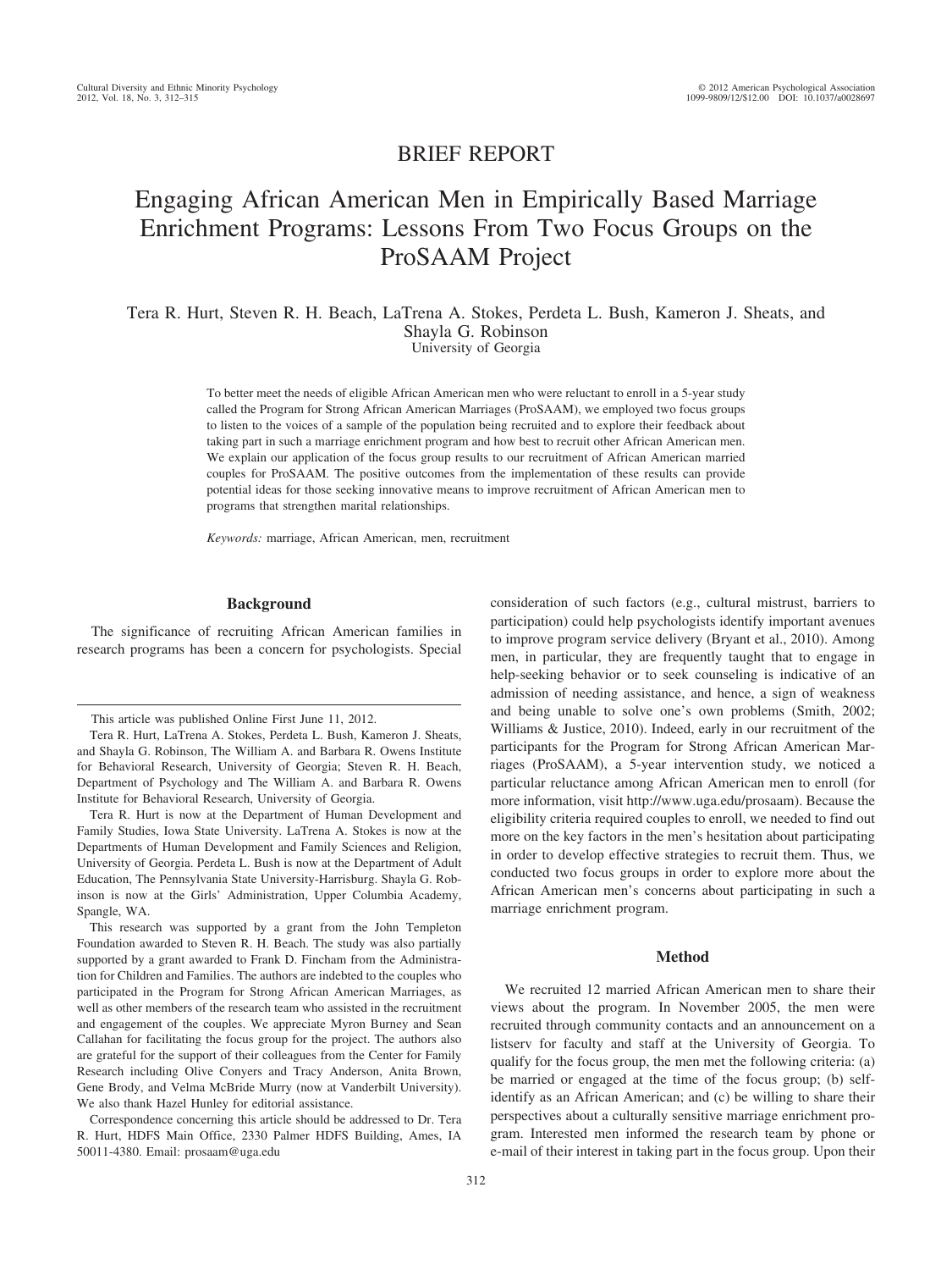# BRIEF REPORT

# Engaging African American Men in Empirically Based Marriage Enrichment Programs: Lessons From Two Focus Groups on the ProSAAM Project

Tera R. Hurt, Steven R. H. Beach, LaTrena A. Stokes, Perdeta L. Bush, Kameron J. Sheats, and Shayla G. Robinson University of Georgia

> To better meet the needs of eligible African American men who were reluctant to enroll in a 5-year study called the Program for Strong African American Marriages (ProSAAM), we employed two focus groups to listen to the voices of a sample of the population being recruited and to explore their feedback about taking part in such a marriage enrichment program and how best to recruit other African American men. We explain our application of the focus group results to our recruitment of African American married couples for ProSAAM. The positive outcomes from the implementation of these results can provide potential ideas for those seeking innovative means to improve recruitment of African American men to programs that strengthen marital relationships.

*Keywords:* marriage, African American, men, recruitment

#### **Background**

The significance of recruiting African American families in research programs has been a concern for psychologists. Special

This research was supported by a grant from the John Templeton Foundation awarded to Steven R. H. Beach. The study was also partially supported by a grant awarded to Frank D. Fincham from the Administration for Children and Families. The authors are indebted to the couples who participated in the Program for Strong African American Marriages, as well as other members of the research team who assisted in the recruitment and engagement of the couples. We appreciate Myron Burney and Sean Callahan for facilitating the focus group for the project. The authors also are grateful for the support of their colleagues from the Center for Family Research including Olive Conyers and Tracy Anderson, Anita Brown, Gene Brody, and Velma McBride Murry (now at Vanderbilt University). We also thank Hazel Hunley for editorial assistance.

Correspondence concerning this article should be addressed to Dr. Tera R. Hurt, HDFS Main Office, 2330 Palmer HDFS Building, Ames, IA 50011-4380. Email: prosaam@uga.edu

consideration of such factors (e.g., cultural mistrust, barriers to participation) could help psychologists identify important avenues to improve program service delivery (Bryant et al., 2010). Among men, in particular, they are frequently taught that to engage in help-seeking behavior or to seek counseling is indicative of an admission of needing assistance, and hence, a sign of weakness and being unable to solve one's own problems (Smith, 2002; Williams & Justice, 2010). Indeed, early in our recruitment of the participants for the Program for Strong African American Marriages (ProSAAM), a 5-year intervention study, we noticed a particular reluctance among African American men to enroll (for more information, visit http://www.uga.edu/prosaam). Because the eligibility criteria required couples to enroll, we needed to find out more on the key factors in the men's hesitation about participating in order to develop effective strategies to recruit them. Thus, we conducted two focus groups in order to explore more about the African American men's concerns about participating in such a marriage enrichment program.

## **Method**

We recruited 12 married African American men to share their views about the program. In November 2005, the men were recruited through community contacts and an announcement on a listserv for faculty and staff at the University of Georgia. To qualify for the focus group, the men met the following criteria: (a) be married or engaged at the time of the focus group; (b) selfidentify as an African American; and (c) be willing to share their perspectives about a culturally sensitive marriage enrichment program. Interested men informed the research team by phone or e-mail of their interest in taking part in the focus group. Upon their

This article was published Online First June 11, 2012.

Tera R. Hurt, LaTrena A. Stokes, Perdeta L. Bush, Kameron J. Sheats, and Shayla G. Robinson, The William A. and Barbara R. Owens Institute for Behavioral Research, University of Georgia; Steven R. H. Beach, Department of Psychology and The William A. and Barbara R. Owens Institute for Behavioral Research, University of Georgia.

Tera R. Hurt is now at the Department of Human Development and Family Studies, Iowa State University. LaTrena A. Stokes is now at the Departments of Human Development and Family Sciences and Religion, University of Georgia. Perdeta L. Bush is now at the Department of Adult Education, The Pennsylvania State University-Harrisburg. Shayla G. Robinson is now at the Girls' Administration, Upper Columbia Academy, Spangle, WA.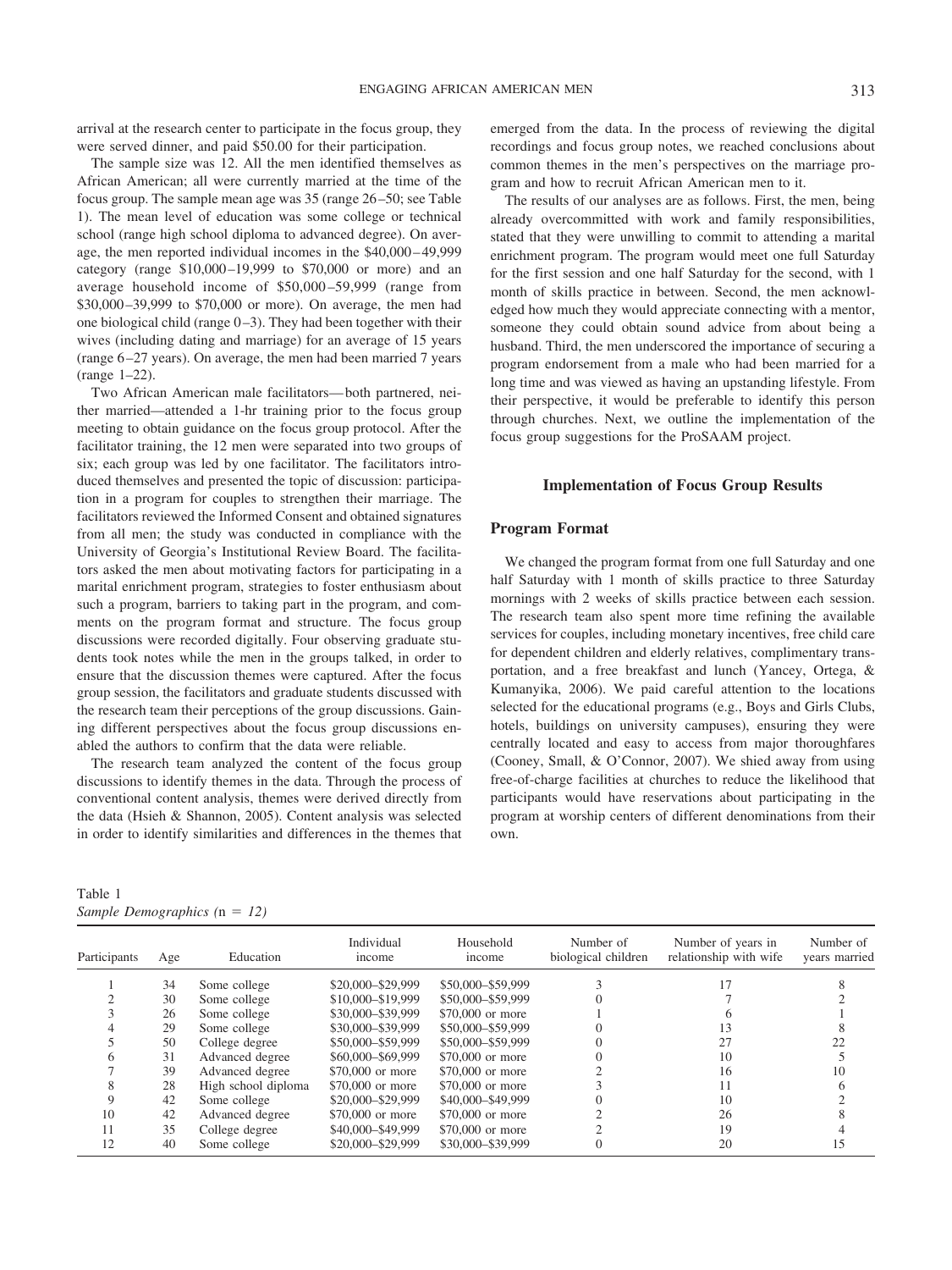arrival at the research center to participate in the focus group, they were served dinner, and paid \$50.00 for their participation.

The sample size was 12. All the men identified themselves as African American; all were currently married at the time of the focus group. The sample mean age was 35 (range 26 –50; see Table 1). The mean level of education was some college or technical school (range high school diploma to advanced degree). On average, the men reported individual incomes in the \$40,000 – 49,999 category (range \$10,000 –19,999 to \$70,000 or more) and an average household income of \$50,000 –59,999 (range from \$30,000 –39,999 to \$70,000 or more). On average, the men had one biological child (range  $0-3$ ). They had been together with their wives (including dating and marriage) for an average of 15 years (range 6 –27 years). On average, the men had been married 7 years (range 1–22).

Two African American male facilitators— both partnered, neither married—attended a 1-hr training prior to the focus group meeting to obtain guidance on the focus group protocol. After the facilitator training, the 12 men were separated into two groups of six; each group was led by one facilitator. The facilitators introduced themselves and presented the topic of discussion: participation in a program for couples to strengthen their marriage. The facilitators reviewed the Informed Consent and obtained signatures from all men; the study was conducted in compliance with the University of Georgia's Institutional Review Board. The facilitators asked the men about motivating factors for participating in a marital enrichment program, strategies to foster enthusiasm about such a program, barriers to taking part in the program, and comments on the program format and structure. The focus group discussions were recorded digitally. Four observing graduate students took notes while the men in the groups talked, in order to ensure that the discussion themes were captured. After the focus group session, the facilitators and graduate students discussed with the research team their perceptions of the group discussions. Gaining different perspectives about the focus group discussions enabled the authors to confirm that the data were reliable.

The research team analyzed the content of the focus group discussions to identify themes in the data. Through the process of conventional content analysis, themes were derived directly from the data (Hsieh & Shannon, 2005). Content analysis was selected in order to identify similarities and differences in the themes that

| Table 1 |                                |  |
|---------|--------------------------------|--|
|         | Sample Demographics $(n = 12)$ |  |

emerged from the data. In the process of reviewing the digital recordings and focus group notes, we reached conclusions about common themes in the men's perspectives on the marriage program and how to recruit African American men to it.

The results of our analyses are as follows. First, the men, being already overcommitted with work and family responsibilities, stated that they were unwilling to commit to attending a marital enrichment program. The program would meet one full Saturday for the first session and one half Saturday for the second, with 1 month of skills practice in between. Second, the men acknowledged how much they would appreciate connecting with a mentor, someone they could obtain sound advice from about being a husband. Third, the men underscored the importance of securing a program endorsement from a male who had been married for a long time and was viewed as having an upstanding lifestyle. From their perspective, it would be preferable to identify this person through churches. Next, we outline the implementation of the focus group suggestions for the ProSAAM project.

## **Implementation of Focus Group Results**

# **Program Format**

We changed the program format from one full Saturday and one half Saturday with 1 month of skills practice to three Saturday mornings with 2 weeks of skills practice between each session. The research team also spent more time refining the available services for couples, including monetary incentives, free child care for dependent children and elderly relatives, complimentary transportation, and a free breakfast and lunch (Yancey, Ortega, & Kumanyika, 2006). We paid careful attention to the locations selected for the educational programs (e.g., Boys and Girls Clubs, hotels, buildings on university campuses), ensuring they were centrally located and easy to access from major thoroughfares (Cooney, Small, & O'Connor, 2007). We shied away from using free-of-charge facilities at churches to reduce the likelihood that participants would have reservations about participating in the program at worship centers of different denominations from their own.

| Participants | Age | Education           | Individual<br>income | Household<br>income | Number of<br>biological children | Number of years in<br>relationship with wife | Number of<br>years married |
|--------------|-----|---------------------|----------------------|---------------------|----------------------------------|----------------------------------------------|----------------------------|
|              | 34  | Some college        | \$20,000-\$29,999    | \$50,000-\$59,999   |                                  |                                              |                            |
|              | 30  | Some college        | \$10,000-\$19,999    | \$50,000-\$59,999   |                                  |                                              |                            |
|              | 26  | Some college        | \$30,000-\$39,999    | \$70,000 or more    |                                  |                                              |                            |
|              | 29  | Some college        | \$30,000-\$39,999    | \$50,000-\$59,999   |                                  | 13                                           |                            |
|              | 50  | College degree      | \$50,000-\$59,999    | \$50,000-\$59,999   |                                  | 27                                           | 22                         |
| <sub>(</sub> | 31  | Advanced degree     | \$60,000-\$69,999    | \$70,000 or more    |                                  | 10                                           |                            |
|              | 39  | Advanced degree     | \$70,000 or more     | \$70,000 or more    |                                  | 16                                           |                            |
| 8            | 28  | High school diploma | \$70,000 or more     | \$70,000 or more    |                                  | 11                                           |                            |
|              | 42  | Some college        | \$20,000-\$29,999    | \$40,000-\$49,999   |                                  | 10                                           |                            |
| 10           | 42  | Advanced degree     | \$70,000 or more     | \$70,000 or more    |                                  | 26                                           |                            |
| 11           | 35  | College degree      | \$40,000-\$49,999    | \$70,000 or more    |                                  | 19                                           |                            |
| 12           | 40  | Some college        | \$20,000-\$29,999    | \$30,000-\$39,999   |                                  | 20                                           |                            |
|              |     |                     |                      |                     |                                  |                                              |                            |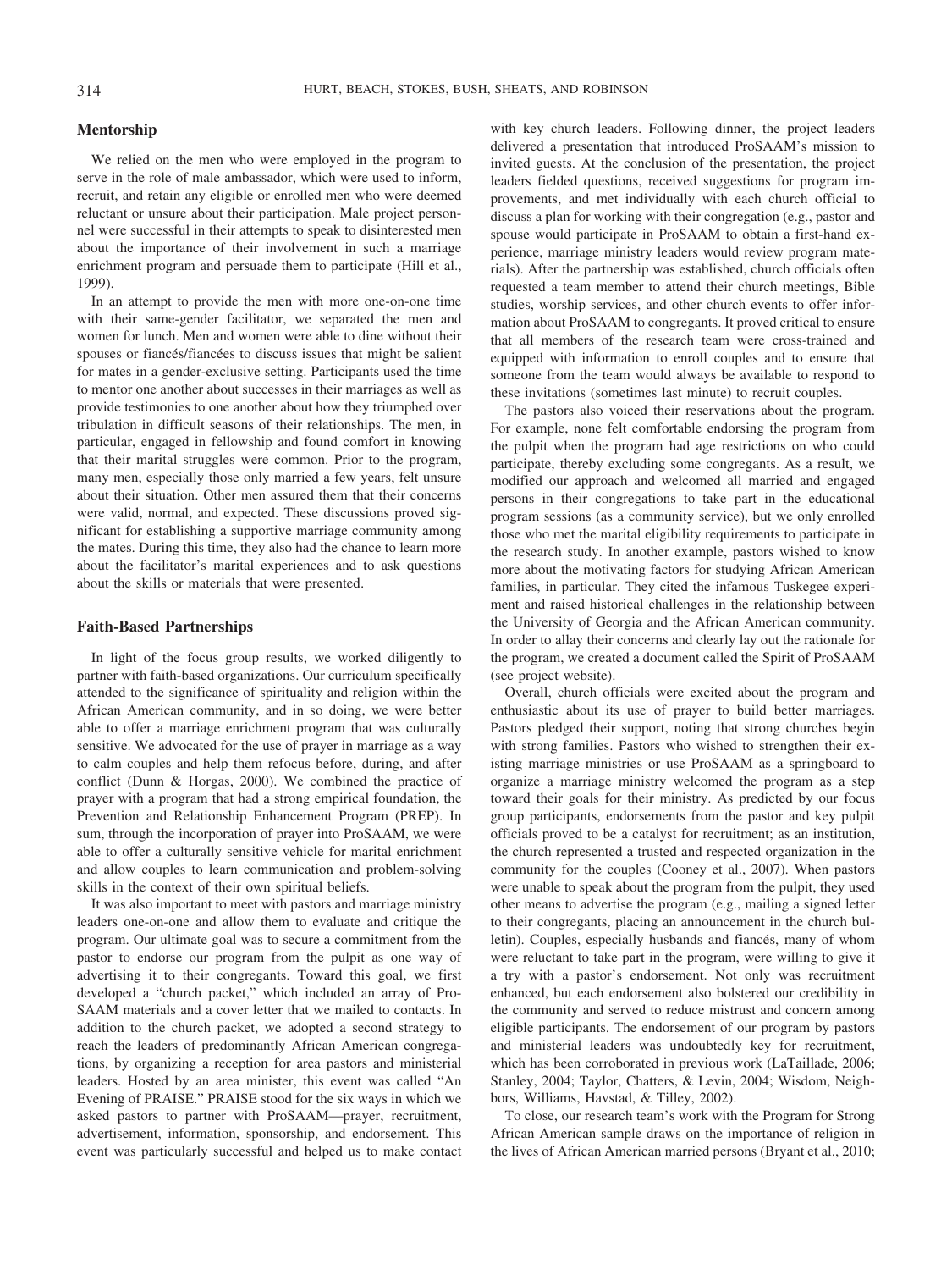# **Mentorship**

We relied on the men who were employed in the program to serve in the role of male ambassador, which were used to inform, recruit, and retain any eligible or enrolled men who were deemed reluctant or unsure about their participation. Male project personnel were successful in their attempts to speak to disinterested men about the importance of their involvement in such a marriage enrichment program and persuade them to participate (Hill et al., 1999).

In an attempt to provide the men with more one-on-one time with their same-gender facilitator, we separated the men and women for lunch. Men and women were able to dine without their spouses or fiancés/fiancées to discuss issues that might be salient for mates in a gender-exclusive setting. Participants used the time to mentor one another about successes in their marriages as well as provide testimonies to one another about how they triumphed over tribulation in difficult seasons of their relationships. The men, in particular, engaged in fellowship and found comfort in knowing that their marital struggles were common. Prior to the program, many men, especially those only married a few years, felt unsure about their situation. Other men assured them that their concerns were valid, normal, and expected. These discussions proved significant for establishing a supportive marriage community among the mates. During this time, they also had the chance to learn more about the facilitator's marital experiences and to ask questions about the skills or materials that were presented.

#### **Faith-Based Partnerships**

In light of the focus group results, we worked diligently to partner with faith-based organizations. Our curriculum specifically attended to the significance of spirituality and religion within the African American community, and in so doing, we were better able to offer a marriage enrichment program that was culturally sensitive. We advocated for the use of prayer in marriage as a way to calm couples and help them refocus before, during, and after conflict (Dunn & Horgas, 2000). We combined the practice of prayer with a program that had a strong empirical foundation, the Prevention and Relationship Enhancement Program (PREP). In sum, through the incorporation of prayer into ProSAAM, we were able to offer a culturally sensitive vehicle for marital enrichment and allow couples to learn communication and problem-solving skills in the context of their own spiritual beliefs.

It was also important to meet with pastors and marriage ministry leaders one-on-one and allow them to evaluate and critique the program. Our ultimate goal was to secure a commitment from the pastor to endorse our program from the pulpit as one way of advertising it to their congregants. Toward this goal, we first developed a "church packet," which included an array of Pro-SAAM materials and a cover letter that we mailed to contacts. In addition to the church packet, we adopted a second strategy to reach the leaders of predominantly African American congregations, by organizing a reception for area pastors and ministerial leaders. Hosted by an area minister, this event was called "An Evening of PRAISE." PRAISE stood for the six ways in which we asked pastors to partner with ProSAAM—prayer, recruitment, advertisement, information, sponsorship, and endorsement. This event was particularly successful and helped us to make contact with key church leaders. Following dinner, the project leaders delivered a presentation that introduced ProSAAM's mission to invited guests. At the conclusion of the presentation, the project leaders fielded questions, received suggestions for program improvements, and met individually with each church official to discuss a plan for working with their congregation (e.g., pastor and spouse would participate in ProSAAM to obtain a first-hand experience, marriage ministry leaders would review program materials). After the partnership was established, church officials often requested a team member to attend their church meetings, Bible studies, worship services, and other church events to offer information about ProSAAM to congregants. It proved critical to ensure that all members of the research team were cross-trained and equipped with information to enroll couples and to ensure that someone from the team would always be available to respond to these invitations (sometimes last minute) to recruit couples.

The pastors also voiced their reservations about the program. For example, none felt comfortable endorsing the program from the pulpit when the program had age restrictions on who could participate, thereby excluding some congregants. As a result, we modified our approach and welcomed all married and engaged persons in their congregations to take part in the educational program sessions (as a community service), but we only enrolled those who met the marital eligibility requirements to participate in the research study. In another example, pastors wished to know more about the motivating factors for studying African American families, in particular. They cited the infamous Tuskegee experiment and raised historical challenges in the relationship between the University of Georgia and the African American community. In order to allay their concerns and clearly lay out the rationale for the program, we created a document called the Spirit of ProSAAM (see project website).

Overall, church officials were excited about the program and enthusiastic about its use of prayer to build better marriages. Pastors pledged their support, noting that strong churches begin with strong families. Pastors who wished to strengthen their existing marriage ministries or use ProSAAM as a springboard to organize a marriage ministry welcomed the program as a step toward their goals for their ministry. As predicted by our focus group participants, endorsements from the pastor and key pulpit officials proved to be a catalyst for recruitment; as an institution, the church represented a trusted and respected organization in the community for the couples (Cooney et al., 2007). When pastors were unable to speak about the program from the pulpit, they used other means to advertise the program (e.g., mailing a signed letter to their congregants, placing an announcement in the church bulletin). Couples, especially husbands and fiancés, many of whom were reluctant to take part in the program, were willing to give it a try with a pastor's endorsement. Not only was recruitment enhanced, but each endorsement also bolstered our credibility in the community and served to reduce mistrust and concern among eligible participants. The endorsement of our program by pastors and ministerial leaders was undoubtedly key for recruitment, which has been corroborated in previous work (LaTaillade, 2006; Stanley, 2004; Taylor, Chatters, & Levin, 2004; Wisdom, Neighbors, Williams, Havstad, & Tilley, 2002).

To close, our research team's work with the Program for Strong African American sample draws on the importance of religion in the lives of African American married persons (Bryant et al., 2010;